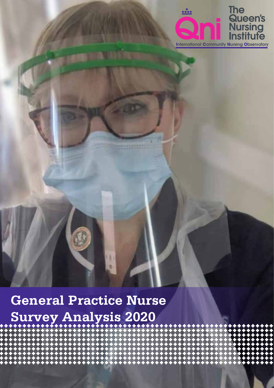

*GPN Survey Report 2020* 1

# **General Practice Nurse Survey Analysis 2020**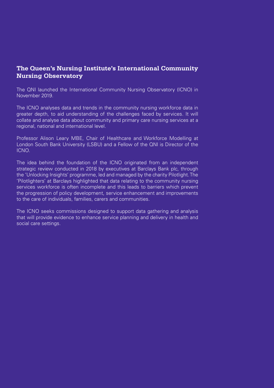# **The Queen's Nursing Institute's International Community Nursing Observatory**

The QNI launched the International Community Nursing Observatory (ICNO) in November 2019.

The ICNO analyses data and trends in the community nursing workforce data in greater depth, to aid understanding of the challenges faced by services. It will collate and analyse data about community and primary care nursing services at a regional, national and international level.

Professor Alison Leary MBE, Chair of Healthcare and Workforce Modelling at London South Bank University (LSBU) and a Fellow of the QNI is Director of the ICNO.

The idea behind the foundation of the ICNO originated from an independent strategic review conducted in 2018 by executives at Barclays Bank plc, through the 'Unlocking Insights' programme, led and managed by the charity Pilotlight. The 'Pilotlighters' at Barclays highlighted that data relating to the community nursing services workforce is often incomplete and this leads to barriers which prevent the progression of policy development, service enhancement and improvements to the care of individuals, families, carers and communities.

The ICNO seeks commissions designed to support data gathering and analysis that will provide evidence to enhance service planning and delivery in health and social care settings.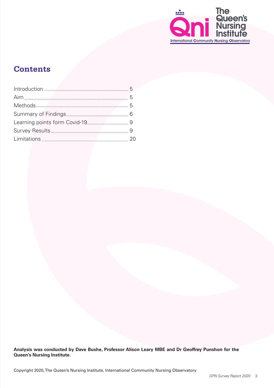

# **Contents**

**Analysis was conducted by Dave Bushe, Professor Alison Leary MBE and Dr Geoffrey Punshon for the Queen's Nursing Institute.**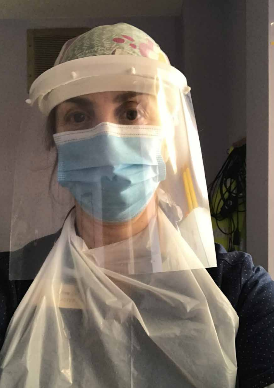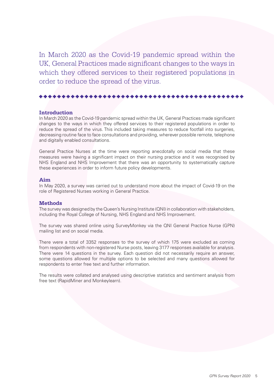In March 2020 as the Covid-19 pandemic spread within the UK, General Practices made significant changes to the ways in which they offered services to their registered populations in order to reduce the spread of the virus.

#### **Introduction**

In March 2020 as the Covid-19 pandemic spread within the UK, General Practices made significant changes to the ways in which they offered services to their registered populations in order to reduce the spread of the virus. This included taking measures to reduce footfall into surgeries, decreasing routine face to face consultations and providing, wherever possible remote, telephone and digitally enabled consultations.

General Practice Nurses at the time were reporting anecdotally on social media that these measures were having a significant impact on their nursing practice and it was recognised by NHS England and NHS Improvement that there was an opportunity to systematically capture these experiences in order to inform future policy developments.

#### **Aim**

In May 2020, a survey was carried out to understand more about the impact of Covid-19 on the role of Registered Nurses working in General Practice.

#### **Methods**

The survey was designed by the Queen's Nursing Institute (QNI) in collaboration with stakeholders, including the Royal College of Nursing, NHS England and NHS Improvement.

The survey was shared online using SurveyMonkey via the QNI General Practice Nurse (GPN) mailing list and on social media.

There were a total of 3352 responses to the survey of which 175 were excluded as coming from respondents with non-registered Nurse posts, leaving 3177 responses available for analysis. There were 14 questions in the survey. Each question did not necessarily require an answer, some questions allowed for multiple options to be selected and many questions allowed for respondents to enter free text and further information.

The results were collated and analysed using descriptive statistics and sentiment analysis from free text (RapidMiner and Monkeylearn).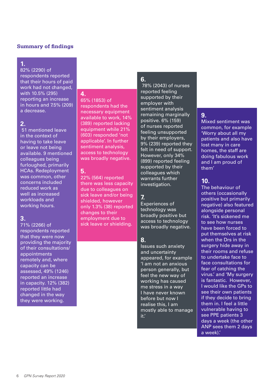### **Summary of findings**

# **1.**

82% (2290) of respondents reported that their hours of paid work had not changed, with 10.5% (295) reporting an increase in hours and 7.5% (209) a decrease.

# **2.**

 51 mentioned leave in the context of having to take leave or leave not being available. 9 mentioned colleagues being furloughed, primarily HCAs. Redeployment was common, other concerns included reduced work as well as increased workloads and working hours.

# **3.**

71% (2266) of respondents reported that they were now providing the majority of their consultations/ appointments remotely and, where capacity can be assessed, 49% (1246) reported an increase in capacity. 12% (382) reported little had changed in the way they were working.

# **4.**

65% (1853) of respondents had the necessary equipment available to work, 14% (389) reported lacking equipment while 21% (603) responded 'not applicable'. In further sentiment analysis, access to technology was broadly negative.

# **5.**

22% (564) reported there was less capacity due to colleagues on sick leave and/or being shielded, however only 1.3% (38) reported changes to their employment due to sick leave or shielding.

# **6.**

 78% (2043) of nurses reported feeling supported by their employer with sentiment analysis remaining marginally positive. 6% (159) of nurses reported feeling unsupported by their employers, 9% (239) reported they felt in need of support. However, only 34% (899) reported feeling supported by their colleagues which warrants further investigation.

# **7.**

Experiences of technology was broadly positive but access to technology was broadly negative.

# **8.**

Issues such anxiety and uncertainty appeared, for example 'I am not an anxious person generally, but feel the new way of working has caused me stress in a way I have never known before but now I realise this, I am mostly able to manage it.'

# **9.**

Mixed sentiment was common, for example 'Worry about all my patients and also have lost many in care homes, the staff are doing fabulous work and I am proud of them'

# **10.**

The behaviour of others (occasionally positive but primarily negative) also featured alongside personal risk. 'It's sickened me to see how nurses have been forced to put themselves at risk when the Drs in the surgery hide away in their rooms and refuse to undertake face to face consultations for fear of catching the virus.' and 'My surgery is fantastic. However, I would like the GPs to see their own patients if they decide to bring them in. I feel a little vulnerable having to see PPE patients 3 days a week (the other ANP sees them 2 days a week).'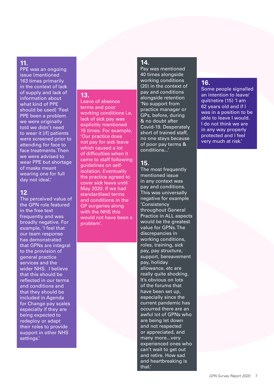# **11.**

PPE was an ongoing issue (mentioned 163 times primarily in the context of lack of supply and lack of information about what kind of PPE should be used) 'Feel PPE been a problem we were originally told we didn't need to wear it [if] patients were screened prior to attending for face to face treatments. Then we were advised to wear PPE but shortage of masks meant wearing one for full day not ideal.'

# **12**.

The perceived value of the GPN role featured in the free text frequently and was broadly negative. For example, 'I feel that our team response has demonstrated that GPNs are integral to the provision of general practice services and the wider NHS. I believe that this should be reflected in our terms and conditions and that they should be included in Agenda for Change pay scales especially if they are being expected to redeploy or adapt their roles to provide support in other NHS settings.'

### **13.**

Leave of absence terms and poor working conditions i.e. lack of sick pay was explicitly mentioned 15 times. For example, 'Our practice does not pay for sick leave which caused a lot of difficulties when it came to staff following guidelines on selfisolation. Eventually the practice agreed to cover sick leave until May 2020. If we had standardised terms and conditions in the GP surgeries along with the NHS this would not have been a problem'.

# **14.**

Pay was mentioned 40 times alongside working conditions (20) in the context of pay and conditions alongside retention 'No support from practice manager or GPs, before, during & no doubt after Covid-19. Desperately short of trained staff, no one stays because of poor pay terms & conditions...'

# **15.**

The most frequently mentioned issue in any context was pay and conditions. This was universally negative for example 'Consistency throughout General Practice in ALL aspects would be the greatest value for GPNs. The discrepancies in working conditions, roles, training, sick pay, pay structure, support, bereavement pay, holiday allowance, etc are really quite shocking. It's obvious on lots of the forums that have been set up, especially since the current pandemic has occurred there are an awful lot of GPNs who are being let down and not respected or appreciated, and many more...very experienced ones who can't wait to get out and retire. How sad and heartbreaking is that.'

# **16.**

Some people signalled an intention to leave/ quit/retire (15) 'I am 62 years old and if I was in a position to be able to leave I would. I do not think we are in any way properly protected and I feel very much at risk.'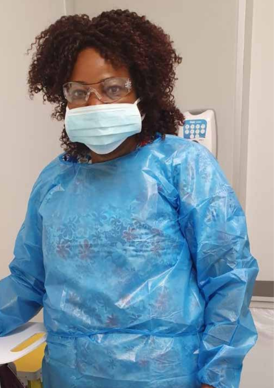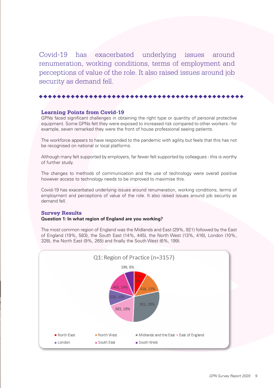Covid-19 has exacerbated underlying issues around renumeration, working conditions, terms of employment and perceptions of value of the role. It also raised issues around job security as demand fell.

#### **Learning Points from Covid-19**

GPNs faced significant challenges in obtaining the right type or quantity of personal protective equipment. Some GPNs felt they were exposed to increased risk compared to other workers - for example, seven remarked they were the front of house professional seeing patients.

The workforce appears to have responded to the pandemic with agility but feels that this has not be recognised on national or local platforms.

Although many felt supported by employers, far fewer felt supported by colleagues - this is worthy of further study.

The changes to methods of communication and the use of technology were overall positive however access to technology needs to be improved to maximise this.

Covid-19 has exacerbated underlying issues around renumeration, working conditions, terms of employment and perceptions of value of the role. It also raised issues around job security as demand fell.

#### **Survey Results**

#### **Question 1: In what region of England are you working?**

The most common region of England was the Midlands and East (29%, 921) followed by the East of England (19%, 583), the South East (14%, 445), the North West (13%, 416), London (10%, 328), the North East (9%, 265) and finally the South West (6%, 199).

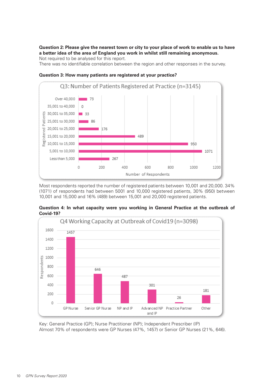### **Question 2: Please give the nearest town or city to your place of work to enable us to have a better idea of the area of England you work in whilst still remaining anonymous.**

Not required to be analysed for this report.

There was no identifiable correlation between the region and other responses in the survey.



#### **Question 3: How many patients are registered at your practice?**

Most respondents reported the number of registered patients between 10,001 and 20,000. 34% (1071) of respondents had between 5001 and 10,000 registered patients, 30% (950) between 10,001 and 15,000 and 16% (489) between 15,001 and 20,000 registered patients.

**Question 4: In what capacity were you working in General Practice at the outbreak of Covid-19?**



Key: General Practice (GP); Nurse Practitioner (NP); Independent Prescriber (IP) Almost 70% of respondents were GP Nurses (47%, 1457) or Senior GP Nurses (21%, 646).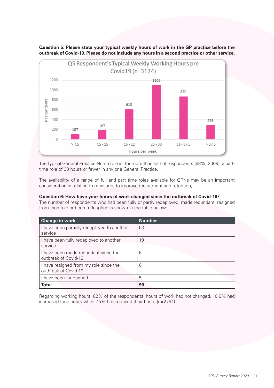

**Question 5: Please state your typical weekly hours of work in the GP practice before the outbreak of Covid-19. Please do not include any hours in a second practice or other service.**

The typical General Practice Nurse role is, for more than half of respondents (63%, 2009), a parttime role of 30 hours or fewer in any one General Practice.

The availability of a range of full and part time roles available for GPNs may be an important consideration in relation to measures to improve recruitment and retention,

#### **Question 6: How have your hours of work changed since the outbreak of Covid-19?**

The number of respondents who had been fully or partly redeployed, made redundant, resigned from their role or been furloughed is shown in the table below:

| <b>Change in work</b>                                          | <b>Number</b> |
|----------------------------------------------------------------|---------------|
| I have been partially redeployed to another<br>service         | 63            |
| I have been fully redeployed to another<br>service             | 19            |
| I have been made redundant since the<br>outbreak of Covid-19   | 6             |
| I have resigned from my role since the<br>outbreak of Covid-19 | 6             |
| I have been furloughed                                         | 5             |
| <b>Total</b>                                                   | 99            |

Regarding working hours, 82% of the respondents' hours of work had not changed, 10.6% had increased their hours while 7.5% had reduced their hours (n=2794).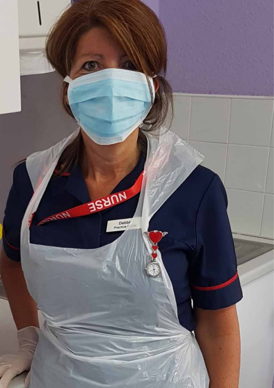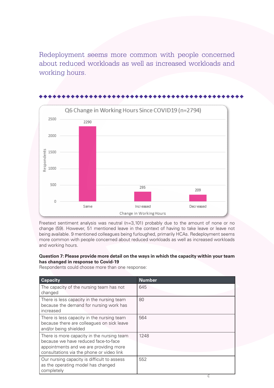Redeployment seems more common with people concerned about reduced workloads as well as increased workloads and working hours.



Freetext sentiment analysis was neutral (n=3,101) probably due to the amount of none or no change (59). However, 51 mentioned leave in the context of having to take leave or leave not being available. 9 mentioned colleagues being furloughed, primarily HCAs. Redeployment seems more common with people concerned about reduced workloads as well as increased workloads and working hours.

#### **Question 7: Please provide more detail on the ways in which the capacity within your team has changed in response to Covid-19**

Respondents could choose more than one response:

| <b>Capacity</b>                                                                                                                                                           | <b>Number</b> |
|---------------------------------------------------------------------------------------------------------------------------------------------------------------------------|---------------|
| The capacity of the nursing team has not<br>changed                                                                                                                       | 645           |
| There is less capacity in the nursing team<br>because the demand for nursing work has<br>increased                                                                        | 80            |
| There is less capacity in the nursing team<br>because there are colleagues on sick leave<br>and/or being shielded                                                         | 564           |
| There is more capacity in the nursing team<br>because we have reduced face-to-face<br>appointments and we are providing more<br>consultations via the phone or video link | 1248          |
| Our nursing capacity is difficult to assess<br>as the operating model has changed<br>completely                                                                           | 552           |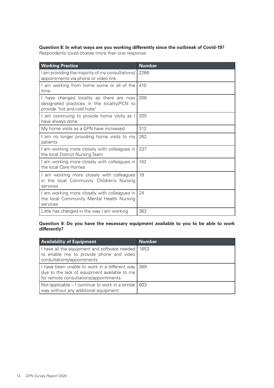#### **Question 8: In what ways are you working differently since the outbreak of Covid-19?** Respondents could choose more than one response:

| <b>Working Practice</b>                                                                                                | <b>Number</b> |  |
|------------------------------------------------------------------------------------------------------------------------|---------------|--|
| I am providing the majority of my consultations/<br>appointments via phone or video link                               | 2266          |  |
| I am working from home some or all of the<br>time                                                                      | 410           |  |
| I have changed locality as there are now<br>designated practices in the locality/PCN to<br>provide 'hot and cold hubs' | 208           |  |
| I am continuing to provide home visits as I<br>have always done                                                        | 205           |  |
| My home visits as a GPN have increased                                                                                 | 312           |  |
| I am no longer providing home visits to my<br>patients                                                                 | 262           |  |
| I am working more closely with colleagues in<br>the local District Nursing Team                                        | 237           |  |
| I am working more closely with colleagues in<br>the local Care Homes                                                   | 142           |  |
| I am working more closely with colleagues<br>in the local Community Children's Nursing<br>services                     | 19            |  |
| I am working more closely with colleagues in<br>the local Community Mental Health Nursing<br>services                  | 24            |  |
| Little has changed in the way I am working                                                                             | 382           |  |

#### **Question 9: Do you have the necessary equipment available to you to be able to work differently?**

| <b>Availability of Equipment</b>                                                                                                             | <b>Number</b> |
|----------------------------------------------------------------------------------------------------------------------------------------------|---------------|
| I have all the equipment and software needed<br>to enable me to provide phone and video<br>consultations/appointments                        | 1853          |
| I have been unable to work in a different way   389<br>due to the lack of equipment available to me<br>for remote consultations/appointments |               |
| Not applicable – I continue to work in a similar<br>way without any additional equipment                                                     | 603           |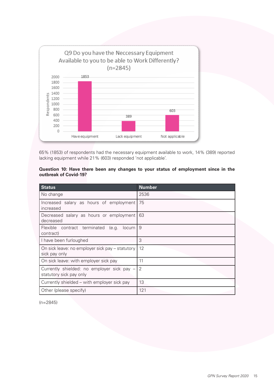

65% (1853) of respondents had the necessary equipment available to work, 14% (389) reported lacking equipment while 21% (603) responded 'not applicable'.

#### **Question 10: Have there been any changes to your status of employment since in the outbreak of Covid-19?**

| <b>Status</b>                                                         | <b>Number</b> |  |
|-----------------------------------------------------------------------|---------------|--|
| No change                                                             | 2536          |  |
| Increased salary as hours of employment<br>increased                  | 75            |  |
| Decreased salary as hours or employment<br>decreased                  | 63            |  |
| Flexible contract terminated (e.g.<br>locum<br>contract)              | 9             |  |
| I have been furloughed                                                | 3             |  |
| On sick leave: no employer sick pay – statutory<br>sick pay only      | 12            |  |
| On sick leave: with employer sick pay                                 | 11            |  |
| Currently shielded: no employer sick pay -<br>statutory sick pay only | 2             |  |
| Currently shielded - with employer sick pay                           | 13            |  |
| Other (please specify)                                                | 121           |  |

 $(n=2845)$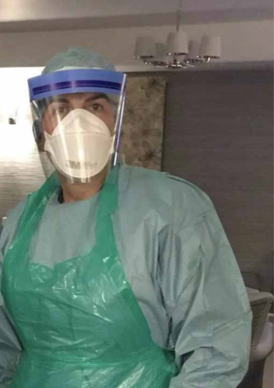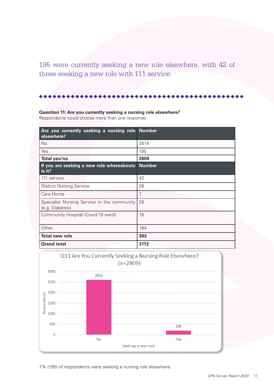# 195 were currently seeking a new role elsewhere, with 42 of these seeking a new role with 111 service.

# **Question 11: Are you currently seeking a nursing role elsewhere?**

Respondents could choose more than one response:

| Are you currently seeking a nursing role Number<br>elsewhere?  |               |  |
|----------------------------------------------------------------|---------------|--|
| No.                                                            | 2614          |  |
| Yes                                                            | 195           |  |
| Total yes/no                                                   | 2809          |  |
| If you are seeking a new role whereabouts<br>is it?            | <b>Number</b> |  |
| 111 service                                                    | 42            |  |
| <b>District Nursing Service</b>                                | 26            |  |
| Care Home                                                      | 7             |  |
| Specialist Nursing Service in the community<br>(e.g. Diabetes) | 26            |  |
| Community Hospital (Covid-19 ward)                             | 18            |  |
| Other                                                          | 184           |  |
| <b>Total new role</b>                                          | 303           |  |
| <b>Grand total</b>                                             | 3112          |  |



7% (195) of respondents were seeking a nursing role elsewhere.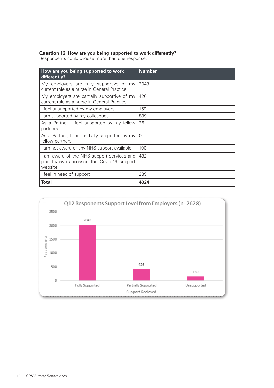### **Question 12: How are you being supported to work differently?**

Respondents could choose more than one response:

| How are you being supported to work<br>differently?                                                 | <b>Number</b> |
|-----------------------------------------------------------------------------------------------------|---------------|
| My employers are fully supportive of my<br>current role as a nurse in General Practice              | 2043          |
| My employers are partially supportive of my<br>current role as a nurse in General Practice          | 426           |
| I feel unsupported by my employers                                                                  | 159           |
| I am supported by my colleagues                                                                     | 899           |
| As a Partner, I feel supported by my fellow<br>partners                                             | 26            |
| As a Partner, I feel partially supported by my<br>fellow partners                                   | $\Omega$      |
| I am not aware of any NHS support available                                                         | 100           |
| I am aware of the NHS support services and<br>plan to/have accessed the Covid-19 support<br>website | 432           |
| I feel in need of support                                                                           | 239           |
| <b>Total</b>                                                                                        | 4324          |

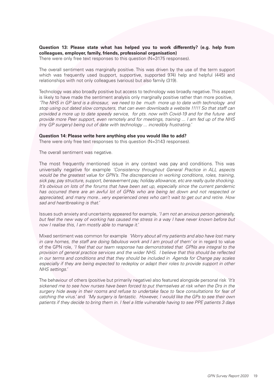#### **Question 13: Please state what has helped you to work differently? (e.g. help from colleagues, employer, family, friends, professional organisation)**

There were only free text responses to this question (N=3175 responses).

The overall sentiment was marginally positive. This was driven by the use of the term support which was frequently used (support, supportive, supported 974) help and helpful (445) and relationships with not only colleagues (various) but also family (319).

Technology was also broadly positive but access to technology was broadly negative. This aspect is likely to have made the sentiment analysis only marginally positive rather than more positive, *'The NHS in GP land is a dinosaur, we need to be much more up to date with technology and stop using out dated slow computers, that can even downloads a website !!!!! So that staff can provided a more up to date speedy service, for pts. now with Covid-19 and for the future and provide more Peer support, even remotely and for meetings, training ... I am fed up of the NHS (my GP surgery) being out of date with technology ... incredibly frustrating.'*

#### **Question 14: Please write here anything else you would like to add?**

There were only free text responses to this question (N=3143 responses).

The overall sentiment was negative.

The most frequently mentioned issue in any context was pay and conditions. This was universally negative for example *'Consistency throughout General Practice in ALL aspects would be the greatest value for GPN's. The discrepancies in working conditions, roles, training, sick pay, pay structure, support, bereavement pay, holiday allowance, etc are really quite shocking.*  It's obvious on lots of the forums that have been set up, especially since the current pandemic has occurred there are an awful lot of GPNs who are being let down and not respected or *appreciated, and many more...very experienced ones who can't wait to get out and retire. How sad and heartbreaking is that.'*

Issues such anxiety and uncertainty appeared for example, *'I am not an anxious person generally, but feel the new way of working has caused me stress in a way I have never known before but now I realise this, I am mostly able to manage it.'*

Mixed sentiment was common for example *'Worry about all my patients and also have lost many in care homes, the staff are doing fabulous work and I am proud of them'* or in regard to value of the GPN role, *'I feel that our team response has demonstrated that GPNs are integral to the provision of general practice services and the wider NHS. I believe that this should be reflected in our terms and conditions and that they should be included in Agenda for Change pay scales especially if they are being expected to redeploy or adapt their roles to provide support in other NHS settings.'*

The behaviour of others (positive but primarily negative) also featured alongside personal risk *'It's*  sickened me to see how nurses have been forced to put themselves at risk when the Drs in the *surgery hide away in their rooms and refuse to undertake face to face consultations for fear of catching the virus.'* and *'My surgery is fantastic. However, I would like the GPs to see their own patients if they decide to bring them in. I feel a little vulnerable having to see PPE patients 3 days*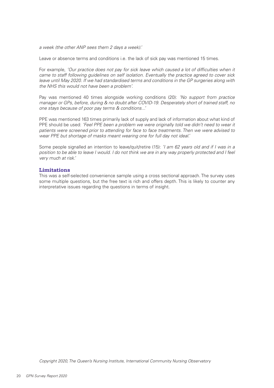*a week (the other ANP sees them 2 days a week).'*

Leave or absence terms and conditions i.e. the lack of sick pay was mentioned 15 times.

For example, *'Our practice does not pay for sick leave which caused a lot of difficulties when it came to staff following guidelines on self isolation. Eventually the practice agreed to cover sick*  leave until May 2020. If we had standardised terms and conditions in the GP surgeries along with *the NHS this would not have been a problem'.*

Pay was mentioned 40 times alongside working conditions (20): *'No support from practice manager or GPs, before, during & no doubt after COVID-19. Desperately short of trained staff, no one stays because of poor pay terms & conditions...'*

PPE was mentioned 163 times primarily lack of supply and lack of information about what kind of PPE should be used: *'Feel PPE been a problem we were originally told we didn't need to wear it patients were screened prior to attending for face to face treatments. Then we were advised to wear PPE but shortage of masks meant wearing one for full day not ideal.'*

Some people signalled an intention to leave/quit/retire (15): *'I am 62 years old and if I was in a*  position to be able to leave I would. I do not think we are in any way properly protected and I feel *very much at risk.'*

#### **Limitations**

This was a self-selected convenience sample using a cross sectional approach. The survey uses some multiple questions, but the free text is rich and offers depth. This is likely to counter any interpretative issues regarding the questions in terms of insight.